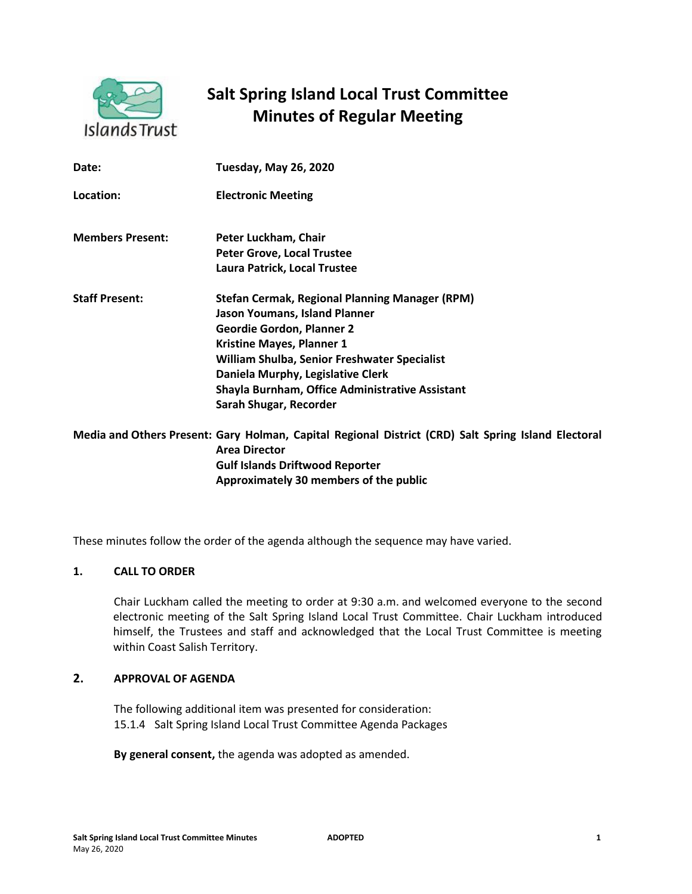

# **Salt Spring Island Local Trust Committee Minutes of Regular Meeting**

| Date:                   | <b>Tuesday, May 26, 2020</b>                                                                                                                                                                                                                                                                                                            |
|-------------------------|-----------------------------------------------------------------------------------------------------------------------------------------------------------------------------------------------------------------------------------------------------------------------------------------------------------------------------------------|
| Location:               | <b>Electronic Meeting</b>                                                                                                                                                                                                                                                                                                               |
| <b>Members Present:</b> | Peter Luckham, Chair<br><b>Peter Grove, Local Trustee</b><br>Laura Patrick, Local Trustee                                                                                                                                                                                                                                               |
| <b>Staff Present:</b>   | <b>Stefan Cermak, Regional Planning Manager (RPM)</b><br><b>Jason Youmans, Island Planner</b><br><b>Geordie Gordon, Planner 2</b><br><b>Kristine Mayes, Planner 1</b><br>William Shulba, Senior Freshwater Specialist<br>Daniela Murphy, Legislative Clerk<br>Shayla Burnham, Office Administrative Assistant<br>Sarah Shugar, Recorder |
|                         | Media and Others Present: Gary Holman, Capital Regional District (CRD) Salt Spring<br><b>Area Director</b>                                                                                                                                                                                                                              |

**Gulf Islands Driftwood Reporter Approximately 30 members of the public** 

These minutes follow the order of the agenda although the sequence may have varied.

## **1. CALL TO ORDER**

Chair Luckham called the meeting to order at 9:30 a.m. and welcomed everyone to the second electronic meeting of the Salt Spring Island Local Trust Committee. Chair Luckham introduced himself, the Trustees and staff and acknowledged that the Local Trust Committee is meeting within Coast Salish Territory.

# **2. APPROVAL OF AGENDA**

The following additional item was presented for consideration: 15.1.4 Salt Spring Island Local Trust Committee Agenda Packages

**By general consent,** the agenda was adopted as amended.

**Island Electoral**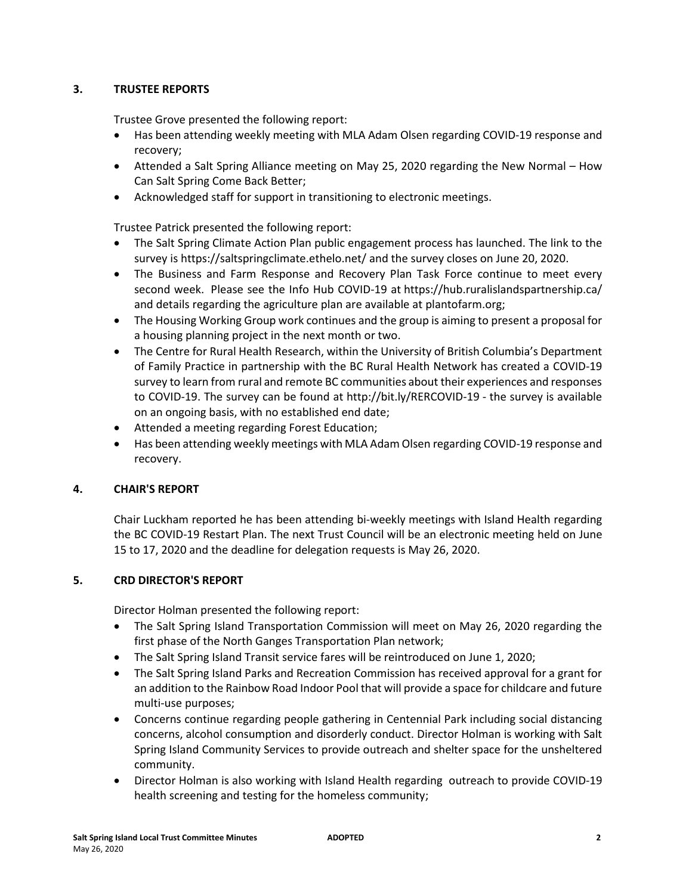# **3. TRUSTEE REPORTS**

Trustee Grove presented the following report:

- Has been attending weekly meeting with MLA Adam Olsen regarding COVID-19 response and recovery;
- Attended a Salt Spring Alliance meeting on May 25, 2020 regarding the New Normal How Can Salt Spring Come Back Better;
- Acknowledged staff for support in transitioning to electronic meetings.

Trustee Patrick presented the following report:

- The Salt Spring Climate Action Plan public engagement process has launched. The link to the survey is [https://saltspringclimate.ethelo.net/](https://saltspringclimate.ethelo.net/?fbclid=IwAR1aYzNZZFvESMlQs8vBbKMp8EYvknIHwHocLVD8jGE9iznmdq7RR0hpc1U) and the survey closes on June 20, 2020.
- The Business and Farm Response and Recovery Plan Task Force continue to meet every second week. Please see the Info Hub COVID-19 at <https://hub.ruralislandspartnership.ca/> and details regarding the agriculture plan are available at [plantofarm.org;](http://plantofarm.org/)
- The Housing Working Group work continues and the group is aiming to present a proposal for a housing planning project in the next month or two.
- The Centre for Rural Health Research, within the University of British Columbia's Department of Family Practice in partnership with the BC Rural Health Network has created a COVID-19 survey to learn from rural and remote BC communities about their experiences and responses to COVID-19. The survey can be found at<http://bit.ly/RERCOVID-19> - the survey is available on an ongoing basis, with no established end date;
- Attended a meeting regarding Forest Education;
- Has been attending weekly meetings with MLA Adam Olsen regarding COVID-19 response and recovery.

## **4. CHAIR'S REPORT**

Chair Luckham reported he has been attending bi-weekly meetings with Island Health regarding the BC COVID-19 Restart Plan. The next Trust Council will be an electronic meeting held on June 15 to 17, 2020 and the deadline for delegation requests is May 26, 2020.

# **5. CRD DIRECTOR'S REPORT**

Director Holman presented the following report:

- The Salt Spring Island Transportation Commission will meet on May 26, 2020 regarding the first phase of the North Ganges Transportation Plan network;
- The Salt Spring Island Transit service fares will be reintroduced on June 1, 2020;
- The Salt Spring Island Parks and Recreation Commission has received approval for a grant for an addition to the Rainbow Road Indoor Pool that will provide a space for childcare and future multi-use purposes;
- Concerns continue regarding people gathering in Centennial Park including social distancing concerns, alcohol consumption and disorderly conduct. Director Holman is working with Salt Spring Island Community Services to provide outreach and shelter space for the unsheltered community.
- Director Holman is also working with Island Health regarding outreach to provide COVID-19 health screening and testing for the homeless community;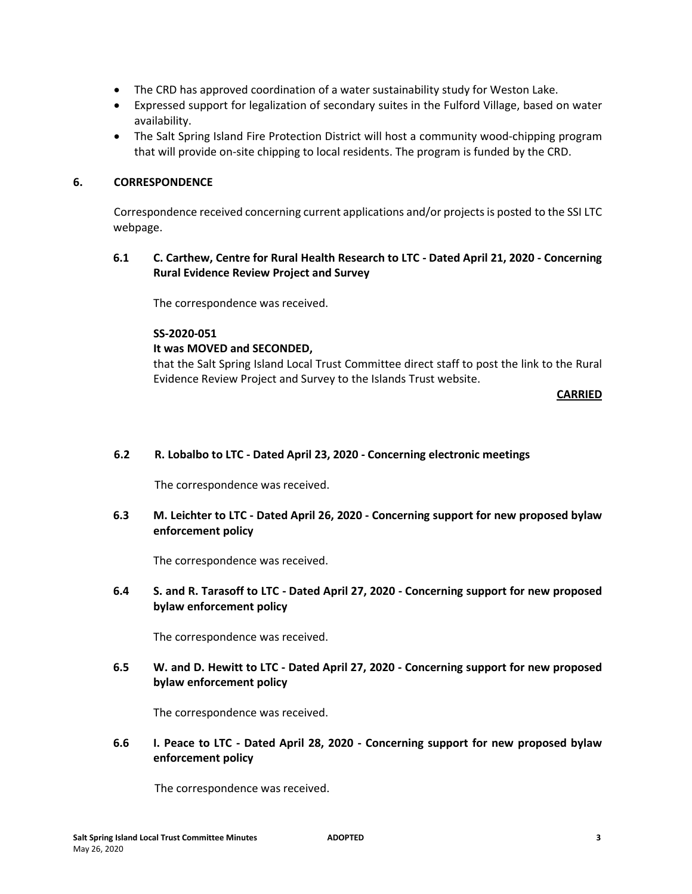- The CRD has approved coordination of a water sustainability study for Weston Lake.
- Expressed support for legalization of secondary suites in the Fulford Village, based on water availability.
- The Salt Spring Island Fire Protection District will host a community wood-chipping program that will provide on-site chipping to local residents. The program is funded by the CRD.

## **6. CORRESPONDENCE**

Correspondence received concerning current applications and/or projects is posted to the SSI LTC webpage.

**6.1 C. Carthew, Centre for Rural Health Research to LTC - Dated April 21, 2020 - Concerning Rural Evidence Review Project and Survey** 

The correspondence was received.

## **SS-2020-051**

## **It was MOVED and SECONDED,**

that the Salt Spring Island Local Trust Committee direct staff to post the link to the Rural Evidence Review Project and Survey to the Islands Trust website.

**CARRIED**

## **6.2 R. Lobalbo to LTC - Dated April 23, 2020 - Concerning electronic meetings**

The correspondence was received.

# **6.3 M. Leichter to LTC - Dated April 26, 2020 - Concerning support for new proposed bylaw enforcement policy**

The correspondence was received.

# **6.4 S. and R. Tarasoff to LTC - Dated April 27, 2020 - Concerning support for new proposed bylaw enforcement policy**

The correspondence was received.

**6.5 W. and D. Hewitt to LTC - Dated April 27, 2020 - Concerning support for new proposed bylaw enforcement policy** 

The correspondence was received.

**6.6 I. Peace to LTC - Dated April 28, 2020 - Concerning support for new proposed bylaw enforcement policy** 

The correspondence was received.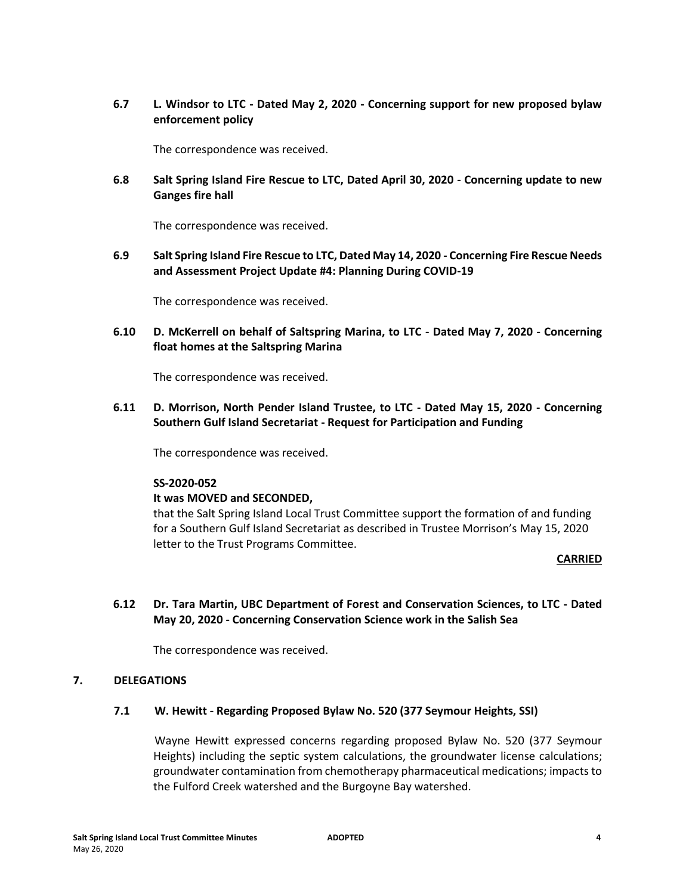**6.7 L. Windsor to LTC - Dated May 2, 2020 - Concerning support for new proposed bylaw enforcement policy** 

The correspondence was received.

**6.8 Salt Spring Island Fire Rescue to LTC, Dated April 30, 2020 - Concerning update to new Ganges fire hall** 

The correspondence was received.

**6.9 Salt Spring Island Fire Rescue to LTC, Dated May 14, 2020 - Concerning Fire Rescue Needs and Assessment Project Update #4: Planning During COVID-19** 

The correspondence was received.

**6.10 D. McKerrell on behalf of Saltspring Marina, to LTC - Dated May 7, 2020 - Concerning float homes at the Saltspring Marina** 

The correspondence was received.

**6.11 D. Morrison, North Pender Island Trustee, to LTC - Dated May 15, 2020 - Concerning Southern Gulf Island Secretariat - Request for Participation and Funding** 

The correspondence was received.

#### **SS-2020-052**

#### **It was MOVED and SECONDED,**

that the Salt Spring Island Local Trust Committee support the formation of and funding for a Southern Gulf Island Secretariat as described in Trustee Morrison's May 15, 2020 letter to the Trust Programs Committee.

#### **CARRIED**

**6.12 Dr. Tara Martin, UBC Department of Forest and Conservation Sciences, to LTC - Dated May 20, 2020 - Concerning Conservation Science work in the Salish Sea** 

The correspondence was received.

#### **7. DELEGATIONS**

#### **7.1 W. Hewitt - Regarding Proposed Bylaw No. 520 (377 Seymour Heights, SSI)**

Wayne Hewitt expressed concerns regarding proposed Bylaw No. 520 (377 Seymour Heights) including the septic system calculations, the groundwater license calculations; groundwater contamination from chemotherapy pharmaceutical medications; impacts to the Fulford Creek watershed and the Burgoyne Bay watershed.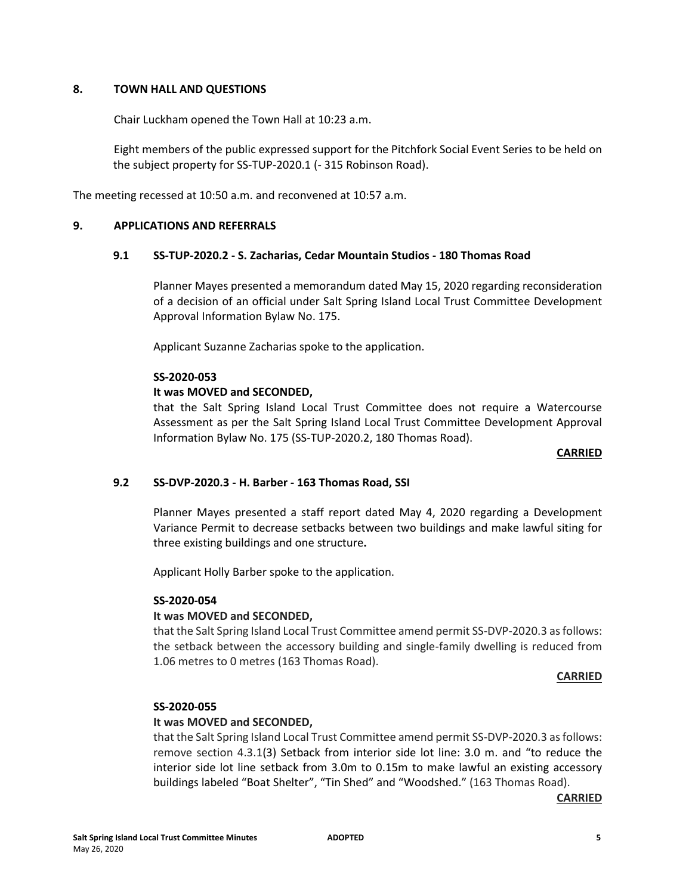## **8. TOWN HALL AND QUESTIONS**

Chair Luckham opened the Town Hall at 10:23 a.m.

Eight members of the public expressed support for the Pitchfork Social Event Series to be held on the subject property for SS-TUP-2020.1 (- 315 Robinson Road).

The meeting recessed at 10:50 a.m. and reconvened at 10:57 a.m.

## **9. APPLICATIONS AND REFERRALS**

## **9.1 SS-TUP-2020.2 - S. Zacharias, Cedar Mountain Studios - 180 Thomas Road**

Planner Mayes presented a memorandum dated May 15, 2020 regarding reconsideration of a decision of an official under Salt Spring Island Local Trust Committee Development Approval Information Bylaw No. 175.

Applicant Suzanne Zacharias spoke to the application.

#### **SS-2020-053**

## **It was MOVED and SECONDED,**

that the Salt Spring Island Local Trust Committee does not require a Watercourse Assessment as per the Salt Spring Island Local Trust Committee Development Approval Information Bylaw No. 175 (SS-TUP-2020.2, 180 Thomas Road).

#### **CARRIED**

## **9.2 SS-DVP-2020.3 - H. Barber - 163 Thomas Road, SSI**

Planner Mayes presented a staff report dated May 4, 2020 regarding a Development Variance Permit to decrease setbacks between two buildings and make lawful siting for three existing buildings and one structure**.**

Applicant Holly Barber spoke to the application.

#### **SS-2020-054**

#### **It was MOVED and SECONDED,**

that the Salt Spring Island Local Trust Committee amend permit SS-DVP-2020.3 as follows: the setback between the accessory building and single-family dwelling is reduced from 1.06 metres to 0 metres (163 Thomas Road).

#### **CARRIED**

#### **SS-2020-055**

## **It was MOVED and SECONDED,**

that the Salt Spring Island Local Trust Committee amend permit SS-DVP-2020.3 as follows: remove section 4.3.1(3) Setback from interior side lot line: 3.0 m. and "to reduce the interior side lot line setback from 3.0m to 0.15m to make lawful an existing accessory buildings labeled "Boat Shelter", "Tin Shed" and "Woodshed." (163 Thomas Road).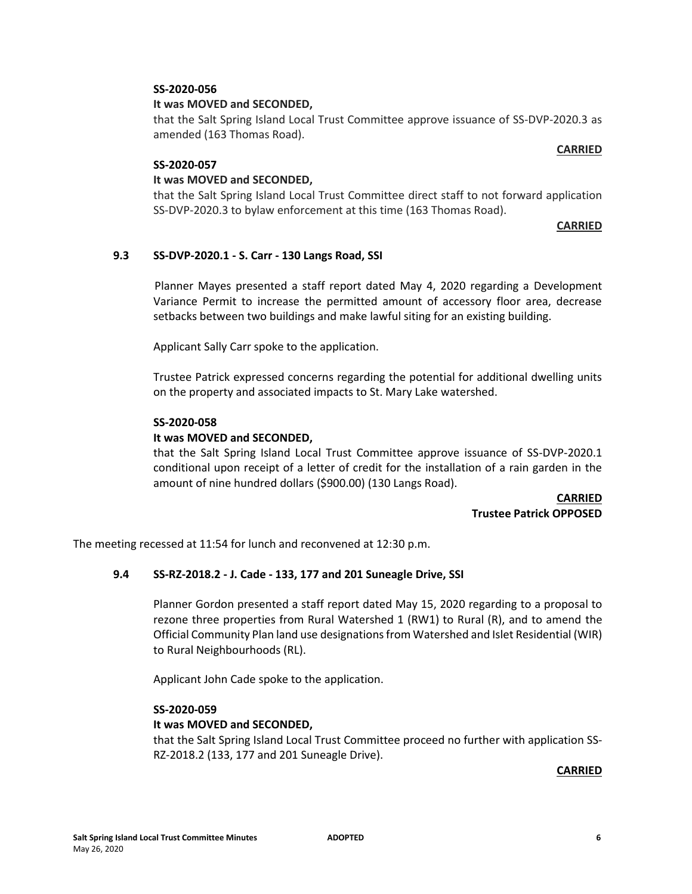## **SS-2020-056**

## **It was MOVED and SECONDED,**

that the Salt Spring Island Local Trust Committee approve issuance of SS-DVP-2020.3 as amended (163 Thomas Road).

## **SS-2020-057**

#### **It was MOVED and SECONDED,**

that the Salt Spring Island Local Trust Committee direct staff to not forward application SS-DVP-2020.3 to bylaw enforcement at this time (163 Thomas Road).

#### **CARRIED**

**CARRIED**

## **9.3 SS-DVP-2020.1 - S. Carr - 130 Langs Road, SSI**

Planner Mayes presented a staff report dated May 4, 2020 regarding a Development Variance Permit to increase the permitted amount of accessory floor area, decrease setbacks between two buildings and make lawful siting for an existing building.

Applicant Sally Carr spoke to the application.

Trustee Patrick expressed concerns regarding the potential for additional dwelling units on the property and associated impacts to St. Mary Lake watershed.

#### **SS-2020-058**

## **It was MOVED and SECONDED,**

that the Salt Spring Island Local Trust Committee approve issuance of SS-DVP-2020.1 conditional upon receipt of a letter of credit for the installation of a rain garden in the amount of nine hundred dollars (\$900.00) (130 Langs Road).

> **CARRIED Trustee Patrick OPPOSED**

The meeting recessed at 11:54 for lunch and reconvened at 12:30 p.m.

## **9.4 SS-RZ-2018.2 - J. Cade - 133, 177 and 201 Suneagle Drive, SSI**

Planner Gordon presented a staff report dated May 15, 2020 regarding to a proposal to rezone three properties from Rural Watershed 1 (RW1) to Rural (R), and to amend the Official Community Plan land use designations from Watershed and Islet Residential (WIR) to Rural Neighbourhoods (RL).

Applicant John Cade spoke to the application.

#### **SS-2020-059**

#### **It was MOVED and SECONDED,**

that the Salt Spring Island Local Trust Committee proceed no further with application SS-RZ-2018.2 (133, 177 and 201 Suneagle Drive).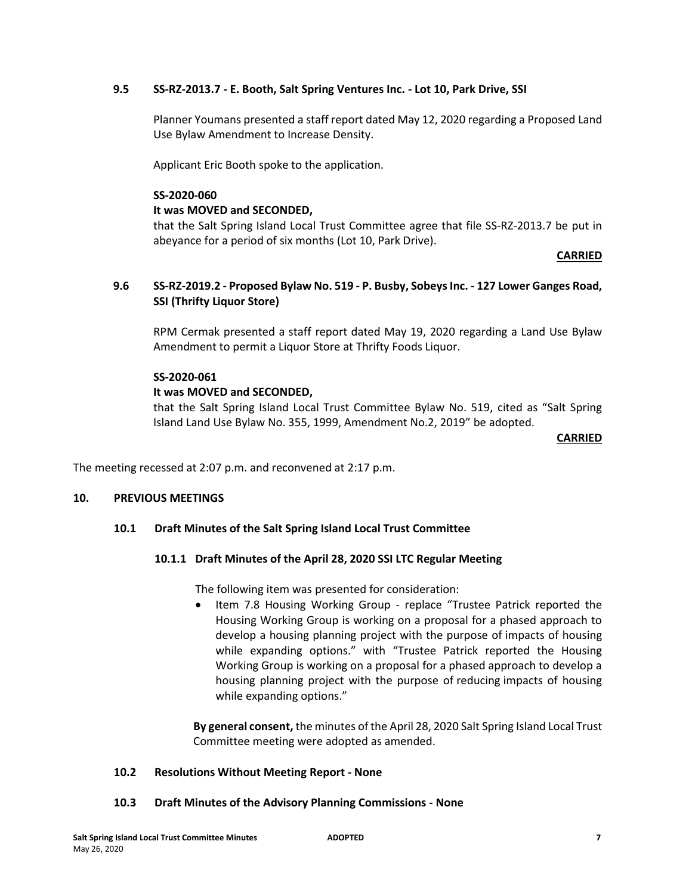## **9.5 SS-RZ-2013.7 - E. Booth, Salt Spring Ventures Inc. - Lot 10, Park Drive, SSI**

Planner Youmans presented a staff report dated May 12, 2020 regarding a Proposed Land Use Bylaw Amendment to Increase Density.

Applicant Eric Booth spoke to the application.

#### **SS-2020-060**

## **It was MOVED and SECONDED,**

that the Salt Spring Island Local Trust Committee agree that file SS-RZ-2013.7 be put in abeyance for a period of six months (Lot 10, Park Drive).

#### **CARRIED**

## **9.6 SS-RZ-2019.2 - Proposed Bylaw No. 519 - P. Busby, Sobeys Inc. - 127 Lower Ganges Road, SSI (Thrifty Liquor Store)**

RPM Cermak presented a staff report dated May 19, 2020 regarding a Land Use Bylaw Amendment to permit a Liquor Store at Thrifty Foods Liquor.

#### **SS-2020-061**

## **It was MOVED and SECONDED,**

that the Salt Spring Island Local Trust Committee Bylaw No. 519, cited as "Salt Spring Island Land Use Bylaw No. 355, 1999, Amendment No.2, 2019" be adopted.

#### **CARRIED**

The meeting recessed at 2:07 p.m. and reconvened at 2:17 p.m.

#### **10. PREVIOUS MEETINGS**

## **10.1 Draft Minutes of the Salt Spring Island Local Trust Committee**

## **10.1.1 Draft Minutes of the April 28, 2020 SSI LTC Regular Meeting**

The following item was presented for consideration:

 Item 7.8 Housing Working Group - replace "Trustee Patrick reported the Housing Working Group is working on a proposal for a phased approach to develop a housing planning project with the purpose of impacts of housing while expanding options." with "Trustee Patrick reported the Housing Working Group is working on a proposal for a phased approach to develop a housing planning project with the purpose of reducing impacts of housing while expanding options."

**By general consent,** the minutes of the April 28, 2020 Salt Spring Island Local Trust Committee meeting were adopted as amended.

#### **10.2 Resolutions Without Meeting Report - None**

#### **10.3 Draft Minutes of the Advisory Planning Commissions - None**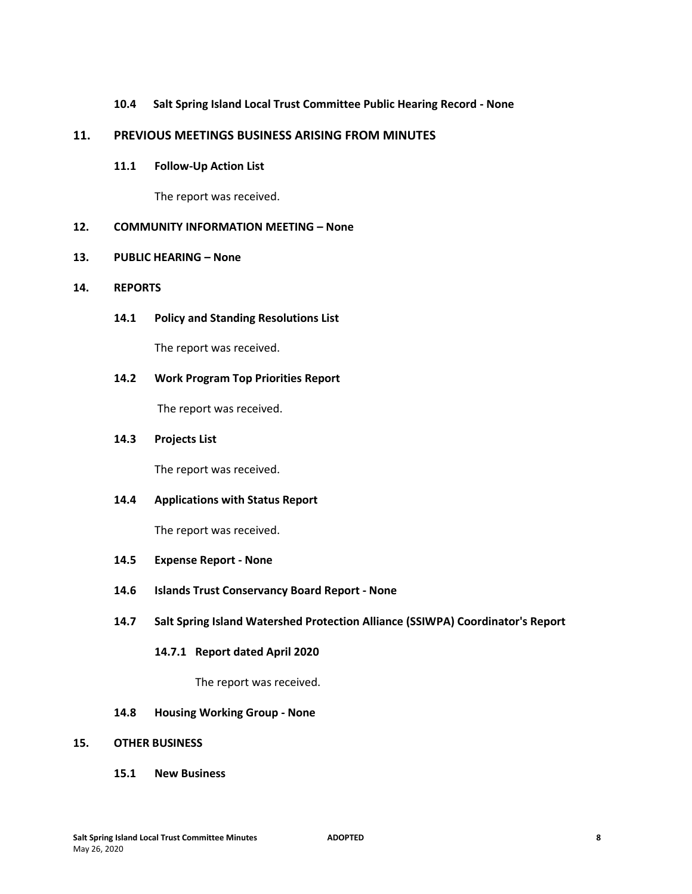## **10.4 Salt Spring Island Local Trust Committee Public Hearing Record - None**

## **11. PREVIOUS MEETINGS BUSINESS ARISING FROM MINUTES**

#### **11.1 Follow-Up Action List**

The report was received.

# **12. COMMUNITY INFORMATION MEETING – None**

## **13. PUBLIC HEARING – None**

## **14. REPORTS**

**14.1 Policy and Standing Resolutions List** 

The report was received.

## **14.2 Work Program Top Priorities Report**

The report was received.

## **14.3 Projects List**

The report was received.

## **14.4 Applications with Status Report**

The report was received.

- **14.5 Expense Report - None**
- **14.6 Islands Trust Conservancy Board Report - None**

## **14.7 Salt Spring Island Watershed Protection Alliance (SSIWPA) Coordinator's Report**

#### **14.7.1 Report dated April 2020**

The report was received.

#### **14.8 Housing Working Group - None**

#### **15. OTHER BUSINESS**

**15.1 New Business**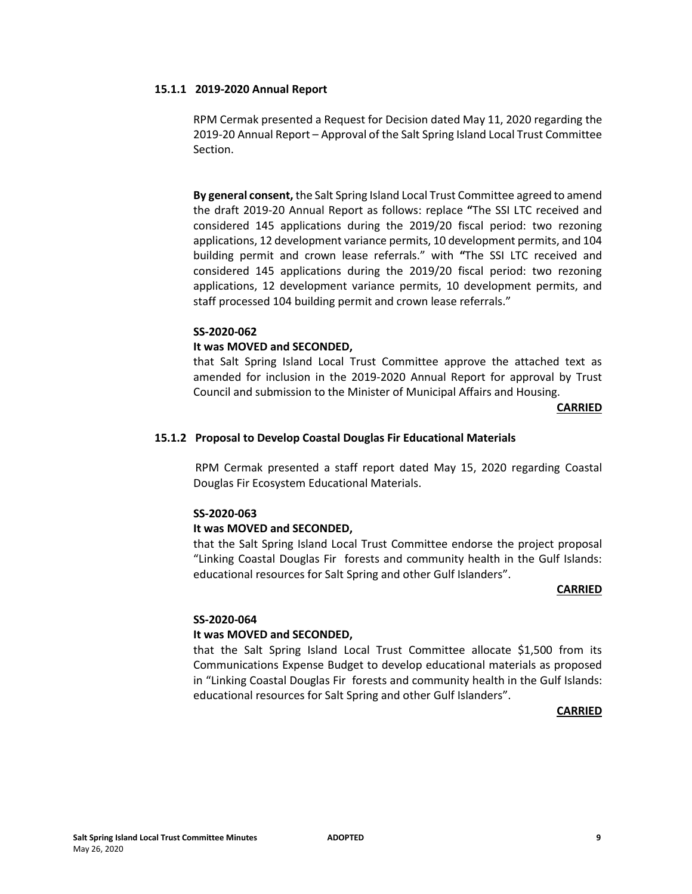#### **15.1.1 2019-2020 Annual Report**

RPM Cermak presented a Request for Decision dated May 11, 2020 regarding the 2019-20 Annual Report – Approval of the Salt Spring Island Local Trust Committee Section.

**By general consent,** the Salt Spring Island Local Trust Committee agreed to amend the draft 2019-20 Annual Report as follows: replace **"**The SSI LTC received and considered 145 applications during the 2019/20 fiscal period: two rezoning applications, 12 development variance permits, 10 development permits, and 104 building permit and crown lease referrals." with **"**The SSI LTC received and considered 145 applications during the 2019/20 fiscal period: two rezoning applications, 12 development variance permits, 10 development permits, and staff processed 104 building permit and crown lease referrals."

#### **SS-2020-062**

#### **It was MOVED and SECONDED,**

that Salt Spring Island Local Trust Committee approve the attached text as amended for inclusion in the 2019-2020 Annual Report for approval by Trust Council and submission to the Minister of Municipal Affairs and Housing.

#### **CARRIED**

#### **15.1.2 Proposal to Develop Coastal Douglas Fir Educational Materials**

RPM Cermak presented a staff report dated May 15, 2020 regarding Coastal Douglas Fir Ecosystem Educational Materials.

#### **SS-2020-063**

#### **It was MOVED and SECONDED,**

that the Salt Spring Island Local Trust Committee endorse the project proposal "Linking Coastal Douglas Fir forests and community health in the Gulf Islands: educational resources for Salt Spring and other Gulf Islanders".

#### **CARRIED**

#### **SS-2020-064**

#### **It was MOVED and SECONDED,**

that the Salt Spring Island Local Trust Committee allocate \$1,500 from its Communications Expense Budget to develop educational materials as proposed in "Linking Coastal Douglas Fir forests and community health in the Gulf Islands: educational resources for Salt Spring and other Gulf Islanders".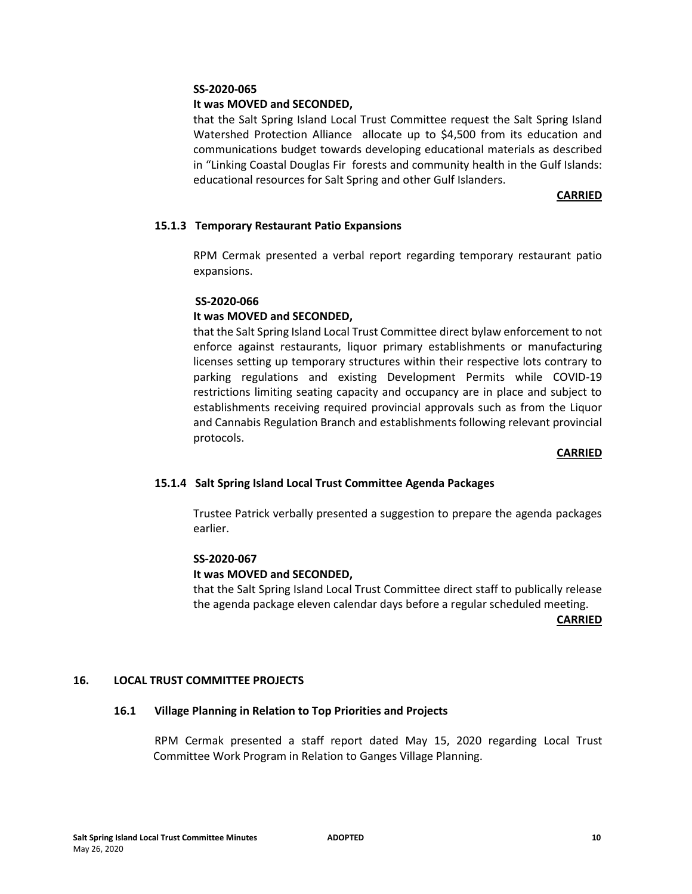#### **SS-2020-065**

## **It was MOVED and SECONDED,**

that the Salt Spring Island Local Trust Committee request the Salt Spring Island Watershed Protection Alliance allocate up to \$4,500 from its education and communications budget towards developing educational materials as described in "Linking Coastal Douglas Fir forests and community health in the Gulf Islands: educational resources for Salt Spring and other Gulf Islanders.

## **CARRIED**

## **15.1.3 Temporary Restaurant Patio Expansions**

RPM Cermak presented a verbal report regarding temporary restaurant patio expansions.

#### **SS-2020-066**

## **It was MOVED and SECONDED,**

that the Salt Spring Island Local Trust Committee direct bylaw enforcement to not enforce against restaurants, liquor primary establishments or manufacturing licenses setting up temporary structures within their respective lots contrary to parking regulations and existing Development Permits while COVID-19 restrictions limiting seating capacity and occupancy are in place and subject to establishments receiving required provincial approvals such as from the Liquor and Cannabis Regulation Branch and establishments following relevant provincial protocols.

#### **CARRIED**

## **15.1.4 Salt Spring Island Local Trust Committee Agenda Packages**

Trustee Patrick verbally presented a suggestion to prepare the agenda packages earlier.

## **SS-2020-067**

#### **It was MOVED and SECONDED,**

that the Salt Spring Island Local Trust Committee direct staff to publically release the agenda package eleven calendar days before a regular scheduled meeting.

**CARRIED**

## **16. LOCAL TRUST COMMITTEE PROJECTS**

#### **16.1 Village Planning in Relation to Top Priorities and Projects**

RPM Cermak presented a staff report dated May 15, 2020 regarding Local Trust Committee Work Program in Relation to Ganges Village Planning.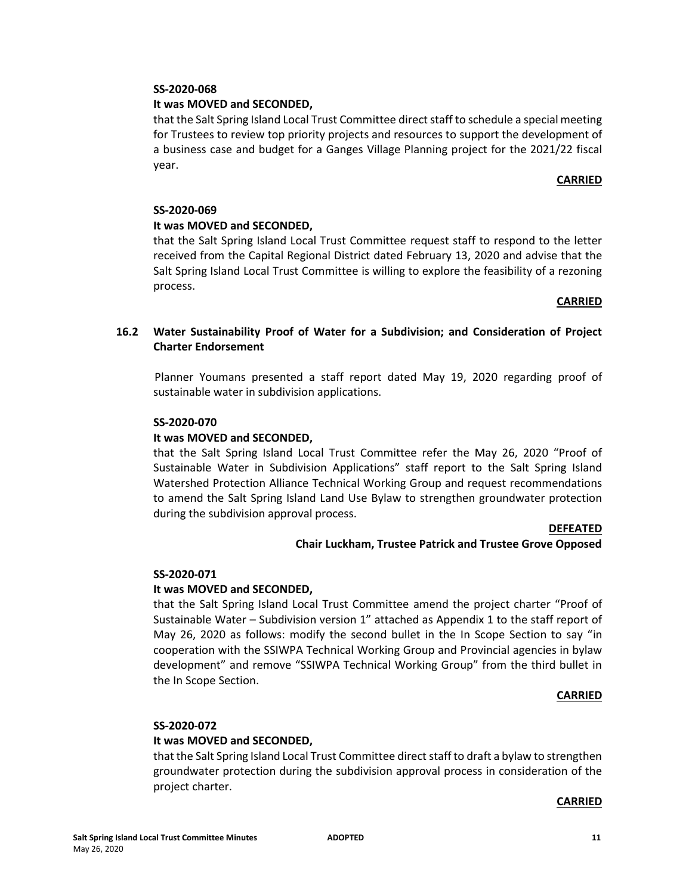## **SS-2020-068**

## **It was MOVED and SECONDED,**

that the Salt Spring Island Local Trust Committee direct staff to schedule a special meeting for Trustees to review top priority projects and resources to support the development of a business case and budget for a Ganges Village Planning project for the 2021/22 fiscal year.

## **CARRIED**

## **SS-2020-069**

# **It was MOVED and SECONDED,**

that the Salt Spring Island Local Trust Committee request staff to respond to the letter received from the Capital Regional District dated February 13, 2020 and advise that the Salt Spring Island Local Trust Committee is willing to explore the feasibility of a rezoning process.

#### **CARRIED**

# **16.2 Water Sustainability Proof of Water for a Subdivision; and Consideration of Project Charter Endorsement**

Planner Youmans presented a staff report dated May 19, 2020 regarding proof of sustainable water in subdivision applications.

## **SS-2020-070**

## **It was MOVED and SECONDED,**

that the Salt Spring Island Local Trust Committee refer the May 26, 2020 "Proof of Sustainable Water in Subdivision Applications" staff report to the Salt Spring Island Watershed Protection Alliance Technical Working Group and request recommendations to amend the Salt Spring Island Land Use Bylaw to strengthen groundwater protection during the subdivision approval process.

#### **DEFEATED**

## **Chair Luckham, Trustee Patrick and Trustee Grove Opposed**

#### **SS-2020-071**

## **It was MOVED and SECONDED,**

that the Salt Spring Island Local Trust Committee amend the project charter "Proof of Sustainable Water – Subdivision version 1" attached as Appendix 1 to the staff report of May 26, 2020 as follows: modify the second bullet in the In Scope Section to say "in cooperation with the SSIWPA Technical Working Group and Provincial agencies in bylaw development" and remove "SSIWPA Technical Working Group" from the third bullet in the In Scope Section.

## **CARRIED**

## **SS-2020-072**

## **It was MOVED and SECONDED,**

that the Salt Spring Island Local Trust Committee direct staff to draft a bylaw to strengthen groundwater protection during the subdivision approval process in consideration of the project charter.